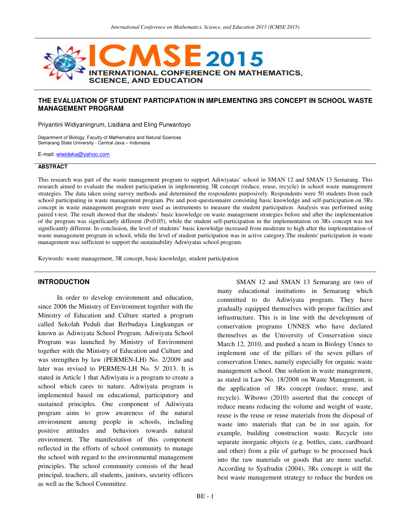

## **THE EVALUATION OF STUDENT PARTICIPATION IN IMPLEMENTING 3RS CONCEPT IN SCHOOL WASTE MANAGEMENT PROGRAM**

Priyantini Widiyaningrum, Lisdiana and Eling Purwantoyo

Department of Biology, Faculty of Mathematics and Natural Sciences Semarang State University - Central Java – Indonesia

E-mail: wiwideka@yahoo.com

#### **ABSTRACT**

This research was part of the waste management program to support Adiwiyatas' school in SMAN 12 and SMAN 13 Semarang. This research aimed to evaluate the student participation in implementing 3R concept (reduce, reuse, recycle) in school waste management strategies. The data taken using survey methods and determined the respondents purposively. Respondents were 50 students from each school participating in waste management program. Pre and post-questionnaire consisting basic knowledge and self-participation on 3Rs concept in waste management program were used as instruments to measure the student participation. Analysis was performed using paired t-test. The result showed that the students' basic knowledge on waste management strategies before and after the implementation of the program was significantly different (P<0.05), while the student self-participation in the implementation on 3Rs concept was not significantly different. In conclusion, the level of students' basic knowledge increased from moderate to high after the implementation of waste management program in school, while the level of student participation was in active category.The students' participation in waste management was sufficient to support the sustainability Adiwiyatas school program.

Keywords: waste management, 3R concept, basic knowledge, student participation

#### **INTRODUCTION**

In order to develop environment and education, since 2006 the Ministry of Environment together with the Ministry of Education and Culture started a program called Sekolah Peduli dan Berbudaya Lingkungan or known as Adiwiyata School Program. Adiwiyata School Program was launched by Ministry of Environment together with the Ministry of Education and Culture and was strengthen by law (PERMEN-LH) No. 2/2009 and later was revised to PERMEN-LH No. 5/ 2013. It is stated in Article 1 that Adiwiyata is a program to create a school which cares to nature. Adiwiyata program is implemented based on educational, participatory and sustained principles. One component of Adiwiyata program aims to grow awareness of the natural environment among people in schools, including positive attitudes and behaviors towards natural environment. The manifestation of this component reflected in the efforts of school community to manage the school with regard to the environmental management principles. The school community consists of the head principal, teachers, all students, janitors, security officers as well as the School Committee.

SMAN 12 and SMAN 13 Semarang are two of many educational institutions in Semarang which committed to do Adiwiyata program. They have gradually equipped themselves with proper facilities and infrastructure. This is in line with the development of conservation programs UNNES who have declared themselves as the University of Conservation since March 12, 2010, and pushed a team in Biology Unnes to implement one of the pillars of the seven pillars of conservation Unnes, namely especially for organic waste management school. One solution in waste management, as stated in Law No. 18/2008 on Waste Management, is the application of 3Rs concept (reduce; reuse, and recycle). Wibowo (2010) asserted that the concept of reduce means reducing the volume and weight of waste, reuse is the reuse or reuse materials from the disposal of waste into materials that can be in use again, for example, building construction waste. Recycle isto separate inorganic objects (e.g. bottles, cans, cardboard and other) from a pile of garbage to be processed back into the raw materials or goods that are more useful. According to Syafrudin (2004), 3Rs concept is still the best waste management strategy to reduce the burden on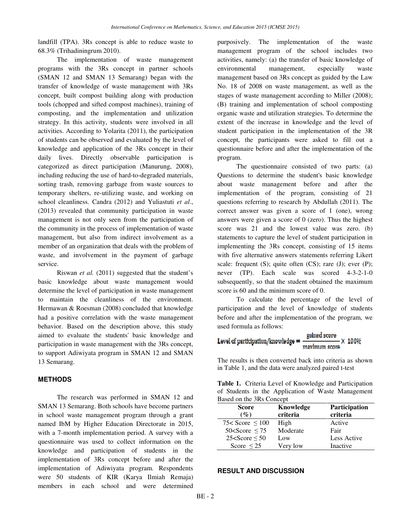landfill (TPA). 3Rs concept is able to reduce waste to 68.3% (Trihadiningrum 2010).

The implementation of waste management programs with the 3Rs concept in partner schools (SMAN 12 and SMAN 13 Semarang) began with the transfer of knowledge of waste management with 3Rs concept, built compost building along with production tools (chopped and sifted compost machines), training of composting, and the implementation and utilization strategy. In this activity, students were involved in all activities. According to Yolarita (2011), the participation of students can be observed and evaluated by the level of knowledge and application of the 3Rs concept in their daily lives. Directly observable participation is categorized as direct participation (Manurung, 2008), including reducing the use of hard-to-degraded materials, sorting trash, removing garbage from waste sources to temporary shelters, re-utilizing waste, and working on school cleanliness. Candra (2012) and Yuliastuti *et al*., (2013) revealed that community participation in waste management is not only seen from the participation of the community in the process of implementation of waste management, but also from indirect involvement as a member of an organization that deals with the problem of waste, and involvement in the payment of garbage service.

Riswan *et al.* (2011) suggested that the student's basic knowledge about waste management would determine the level of participation in waste management to maintain the cleanliness of the environment. Hermawan & Roesman (2008) concluded that knowledge had a positive correlation with the waste management behavior. Based on the description above, this study aimed to evaluate the students' basic knowledge and participation in waste management with the 3Rs concept, to support Adiwiyata program in SMAN 12 and SMAN 13 Semarang.

# **METHODS**

The research was performed in SMAN 12 and SMAN 13 Semarang. Both schools have become partners in school waste management program through a grant named IbM by Higher Education Directorate in 2015, with a 7-month implementation period. A survey with a questionnaire was used to collect information on the knowledge and participation of students in the implementation of 3Rs concept before and after the implementation of Adiwiyata program. Respondents were 50 students of KIR (Karya Ilmiah Remaja) members in each school and were determined purposively. The implementation of the waste management program of the school includes two activities, namely: (a) the transfer of basic knowledge of environmental management, especially waste management based on 3Rs concept as guided by the Law No. 18 of 2008 on waste management, as well as the stages of waste management according to Miller (2008); (B) training and implementation of school composting organic waste and utilization strategies. To determine the extent of the increase in knowledge and the level of student participation in the implementation of the 3R concept, the participants were asked to fill out a questionnaire before and after the implementation of the program.

The questionnaire consisted of two parts: (a) Questions to determine the student's basic knowledge about waste management before and after the implementation of the program, consisting of 21 questions referring to research by Abdullah (2011). The correct answer was given a score of 1 (one), wrong answers were given a score of 0 (zero). Thus the highest score was 21 and the lowest value was zero. (b) statements to capture the level of student participation in implementing the 3Rs concept, consisting of 15 items with five alternative answers statements referring Likert scale: frequent  $(S)$ ; quite often  $(CS)$ ; rare  $(J)$ ; ever  $(P)$ ; never (TP). Each scale was scored 4-3-2-1-0 subsequently, so that the student obtained the maximum score is 60 and the minimum score of 0.

To calculate the percentage of the level of participation and the level of knowledge of students before and after the implementation of the program, we used formula as follows:

Level of participation/knowledge = 
$$
\frac{\text{gained score}}{\text{maximum score}} \times 100\%
$$

The results is then converted back into criteria as shown in Table 1, and the data were analyzed paired t-test

**Table 1.** Criteria Level of Knowledge and Participation of Students in the Application of Waste Management Based on the 3Rs Concept

| <b>Score</b><br>$(\%)$ | Knowledge<br>criteria | Participation<br>criteria |
|------------------------|-----------------------|---------------------------|
| 75< Score $\leq 100$   | High                  | Active                    |
| $50<$ Score $\leq 75$  | Moderate              | Fair                      |
| $25 <$ Score $\leq 50$ | Low                   | Less Active               |
| Score $\leq$ 25        | Very low              | Inactive                  |

#### **RESULT AND DISCUSSION**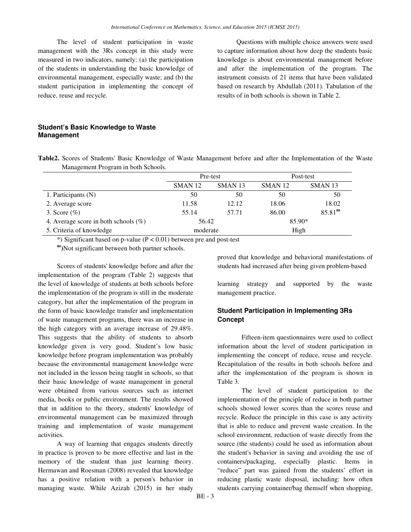The level of student participation in waste management with the 3Rs concept in this study were measured in two indicators, namely: (a) the participation of the students in understanding the basic knowledge of environmental management, especially waste; and (b) the student participation in implementing the concept of reduce, reuse and recycle.

Questions with multiple choice answers were used to capture information about how deep the students basic knowledge is about environmental management before and after the implementation of the program. The instrument consists of 21 items that have been validated based on research by Abdullah (2011). Tabulation of the results of in both schools is shown in Table 2.

# **Student's Basic Knowledge to Waste Management**

**Table2.** Scores of Students' Basic Knowledge of Waste Management before and after the Implementation of the Waste Management Program in both Schools.

|                                         | Pre-test           |                    | Post-test          |                     |
|-----------------------------------------|--------------------|--------------------|--------------------|---------------------|
|                                         | SMAN <sub>12</sub> | SMAN <sub>13</sub> | SMAN <sub>12</sub> | SMAN <sub>13</sub>  |
| 1. Participants (N)                     | 50                 | 50                 | 50                 | 50                  |
| 2. Average score                        | 11.58              | 12.12              | 18.06              | 18.02               |
| 3. Score $(\%)$                         | 55.14              | 57.71              | 86.00              | 85.81 <sup>ns</sup> |
| 4. Average score in both schools $(\%)$ | 56.42              |                    | 85.90*             |                     |
| 5. Criteria of knowledge                | moderate           |                    | High               |                     |

\*) Significant based on p-value ( $P < 0.01$ ) between pre and post-test

**ns)**Not significant between both partner schools.

Scores of students' knowledge before and after the implementation of the program (Table 2) suggests that the level of knowledge of students at both schools before the implementation of the program is still in the moderate category, but after the implementation of the program in the form of basic knowledge transfer and implementation of waste management programs, there was an increase in the high category with an average increase of 29.48%. This suggests that the ability of students to absorb knowledge given is very good. Student's low basic knowledge before program implementation was probably because the environmental management knowledge were not included in the lesson being taught in schools, so that their basic knowledge of waste management in general were obtained from various sources such as internet media, books or public environment. The results showed that in addition to the theory, students' knowledge of environmental management can be maximized through training and implementation of waste management activities.

A way of learning that engages students directly in practice is proven to be more effective and last in the memory of the student than just learning theory. Hermawan and Roesman (2008) revealed that knowledge has a positive relation with a person's behavior in managing waste. While Azizah (2015) in her study

proved that knowledge and behavioral manifestations of students had increased after being given problem-based

learning strategy and supported by the waste management practice.

# **Student Participation in Implementing 3Rs Concept**

Fifteen-item questionnaires were used to collect information about the level of student participation in implementing the concept of reduce, reuse and recycle. Recapitulation of the results in both schools before and after the implementation of the program is shown in Table 3.

The level of student participation to the implementation of the principle of reduce in both partner schools showed lower scores than the scores reuse and recycle. Reduce the principle in this case is any activity that is able to reduce and prevent waste creation. In the school environment, reduction of waste directly from the source (the students) could be used as information about the student's behavior in saving and avoiding the use of containers/packaging, especially plastic. Items in "reduce" part was gained from the students' effort in reducing plastic waste disposal, including: how often students carrying container/bag themself when shopping,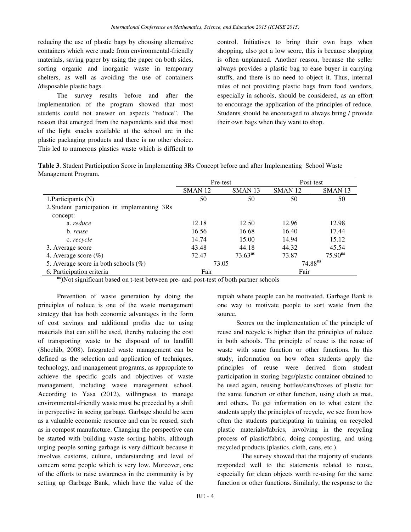reducing the use of plastic bags by choosing alternative containers which were made from environmental-friendly materials, saving paper by using the paper on both sides, sorting organic and inorganic waste in temporary shelters, as well as avoiding the use of containers /disposable plastic bags.

The survey results before and after the implementation of the program showed that most students could not answer on aspects "reduce". The reason that emerged from the respondents said that most of the light snacks available at the school are in the plastic packaging products and there is no other choice. This led to numerous plastics waste which is difficult to control. Initiatives to bring their own bags when shopping, also got a low score, this is because shopping is often unplanned. Another reason, because the seller always provides a plastic bag to ease buyer in carrying stuffs, and there is no need to object it. Thus, internal rules of not providing plastic bags from food vendors, especially in schools, should be considered, as an effort to encourage the application of the principles of reduce. Students should be encouraged to always bring / provide their own bags when they want to shop.

**Table 3**. Student Participation Score in Implementing 3Rs Concept before and after Implementing School Waste Management Program.

|                                              | Pre-test           |                    | Post-test          |                    |
|----------------------------------------------|--------------------|--------------------|--------------------|--------------------|
|                                              | SMAN <sub>12</sub> | SMAN <sub>13</sub> | SMAN <sub>12</sub> | SMAN <sub>13</sub> |
| 1. Participants $(N)$                        | 50                 | 50                 | 50                 | 50                 |
| 2. Student participation in implementing 3Rs |                    |                    |                    |                    |
| concept:                                     |                    |                    |                    |                    |
| a. reduce                                    | 12.18              | 12.50              | 12.96              | 12.98              |
| b. reuse                                     | 16.56              | 16.68              | 16.40              | 17.44              |
| c. recycle                                   | 14.74              | 15.00              | 14.94              | 15.12              |
| 3. Average score                             | 43.48              | 44.18              | 44.32              | 45.54              |
| 4. Average score $(\%)$                      | 72.47              | $73.63^{ns}$       | 73.87              | $75.90^{ns}$       |
| 5. Average score in both schools $(\%)$      | 73.05              |                    | $74.88^{ns}$       |                    |
| 6. Participation criteria                    | Fair               |                    | Fair               |                    |

**ns**)Not significant based on t-test between pre- and post-test of both partner schools

Prevention of waste generation by doing the principles of reduce is one of the waste management strategy that has both economic advantages in the form of cost savings and additional profits due to using materials that can still be used, thereby reducing the cost of transporting waste to be disposed of to landfill (Shochib, 2008). Integrated waste management can be defined as the selection and application of techniques, technology, and management programs, as appropriate to achieve the specific goals and objectives of waste management, including waste management school. According to Yasa (2012), willingness to manage environmental-friendly waste must be preceded by a shift in perspective in seeing garbage. Garbage should be seen as a valuable economic resource and can be reused, such as in compost manufacture. Changing the perspective can be started with building waste sorting habits, although urging people sorting garbage is very difficult because it involves customs, culture, understanding and level of concern some people which is very low. Moreover, one of the efforts to raise awareness in the community is by setting up Garbage Bank, which have the value of the

rupiah where people can be motivated. Garbage Bank is one way to motivate people to sort waste from the source.

Scores on the implementation of the principle of reuse and recycle is higher than the principles of reduce in both schools. The principle of reuse is the reuse of waste with same function or other functions. In this study, information on how often students apply the principles of reuse were derived from student participation in storing bags/plastic container obtained to be used again, reusing bottles/cans/boxes of plastic for the same function or other function, using cloth as mat, and others. To get information on to what extent the students apply the principles of recycle, we see from how often the students participating in training on recycled plastic materials/fabrics, involving in the recycling process of plastic/fabric, doing composting, and using recycled products (plastics, cloth, cans, etc.).

The survey showed that the majority of students responded well to the statements related to reuse, especially for clean objects worth re-using for the same function or other functions. Similarly, the response to the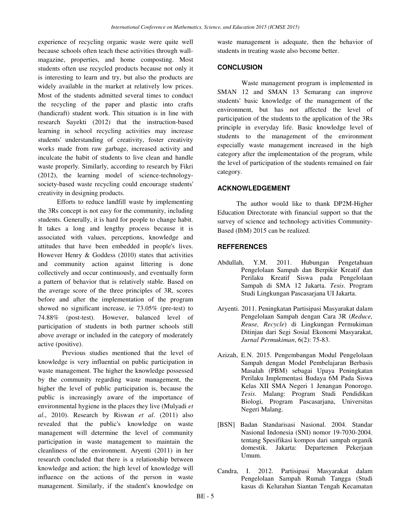experience of recycling organic waste were quite well because schools often teach these activities through wallmagazine, properties, and home composting. Most students often use recycled products because not only it is interesting to learn and try, but also the products are widely available in the market at relatively low prices. Most of the students admitted several times to conduct the recycling of the paper and plastic into crafts (handicraft) student work. This situation is in line with research Sayekti (2012) that the instruction-based learning in school recycling activities may increase students' understanding of creativity, foster creativity works made from raw garbage, increased activity and inculcate the habit of students to live clean and handle waste properly. Similarly, according to research by Fikri (2012), the learning model of science-technologysociety-based waste recycling could encourage students' creativity in designing products.

Efforts to reduce landfill waste by implementing the 3Rs concept is not easy for the community, including students. Generally, it is hard for people to change habit. It takes a long and lengthy process because it is associated with values, perceptions, knowledge and attitudes that have been embedded in people's lives. However Henry & Goddess (2010) states that activities and community action against littering is done collectively and occur continuously, and eventually form a pattern of behavior that is relatively stable. Based on the average score of the three principles of 3R, scores before and after the implementation of the program showed no significant increase, ie 73.05% (pre-test) to 74.88% (post-test). However, balanced level of participation of students in both partner schools still above average or included in the category of moderately active (positive).

Previous studies mentioned that the level of knowledge is very influential on public participation in waste management. The higher the knowledge possessed by the community regarding waste management, the higher the level of public participation is, because the public is increasingly aware of the importance of environmental hygiene in the places they live (Mulyadi *et al*., 2010). Research by Riswan *et al*. (2011) also revealed that the public's knowledge on waste management will determine the level of community participation in waste management to maintain the cleanliness of the environment. Aryenti (2011) in her research concluded that there is a relationship between knowledge and action; the high level of knowledge will influence on the actions of the person in waste management. Similarly, if the student's knowledge on

waste management is adequate, then the behavior of students in treating waste also become better.

#### **CONCLUSION**

Waste management program is implemented in SMAN 12 and SMAN 13 Semarang can improve students' basic knowledge of the management of the environment, but has not affected the level of participation of the students to the application of the 3Rs principle in everyday life. Basic knowledge level of students to the management of the environment especially waste management increased in the high category after the implementation of the program, while the level of participation of the students remained on fair category.

# **ACKNOWLEDGEMENT**

The author would like to thank DP2M-Higher Education Directorate with financial support so that the survey of science and technology activities Community-Based (IbM) 2015 can be realized.

# **REFFERENCES**

- Abdullah, Y.M. 2011. Hubungan Pengetahuan Pengelolaan Sampah dan Berpikir Kreatif dan Perilaku Kreatif Siswa pada Pengelolaan Sampah di SMA 12 Jakarta. *Tesis*. Program Studi Lingkungan Pascasarjana UI Jakarta.
- Aryenti. 2011. Peningkatan Partisipasi Masyarakat dalam Pengelolaan Sampah dengan Cara 3R (*Reduce, Reuse, Recycle*) di Lingkungan Permukiman Ditinjau dari Segi Sosial Ekonomi Masyarakat, *Jurnal Permukiman*, 6(2): 75-83.
- Azizah, E.N. 2015. Pengembangan Modul Pengelolaan Sampah dengan Model Pembelajaran Berbasis Masalah (PBM) sebagai Upaya Peningkatan Perilaku Implementasi Budaya 6M Pada Siswa Kelas XII SMA Negeri 1 Jenangan Ponorogo. *Tesis*. Malang: Program Studi Pendidikan Biologi, Program Pascasarjana, Universitas Negeri Malang.
- [BSN] Badan Standarisasi Nasional. 2004. Standar Nasional Indonesia (SNI) nomor 19-7030-2004. tentang Spesifikasi kompos dari sampah organik domestik. Jakarta: Departemen Pekerjaan Umum.
- Candra, I. 2012. Partisipasi Masyarakat dalam Pengelolaan Sampah Rumah Tangga (Studi kasus di Kelurahan Siantan Tengah Kecamatan